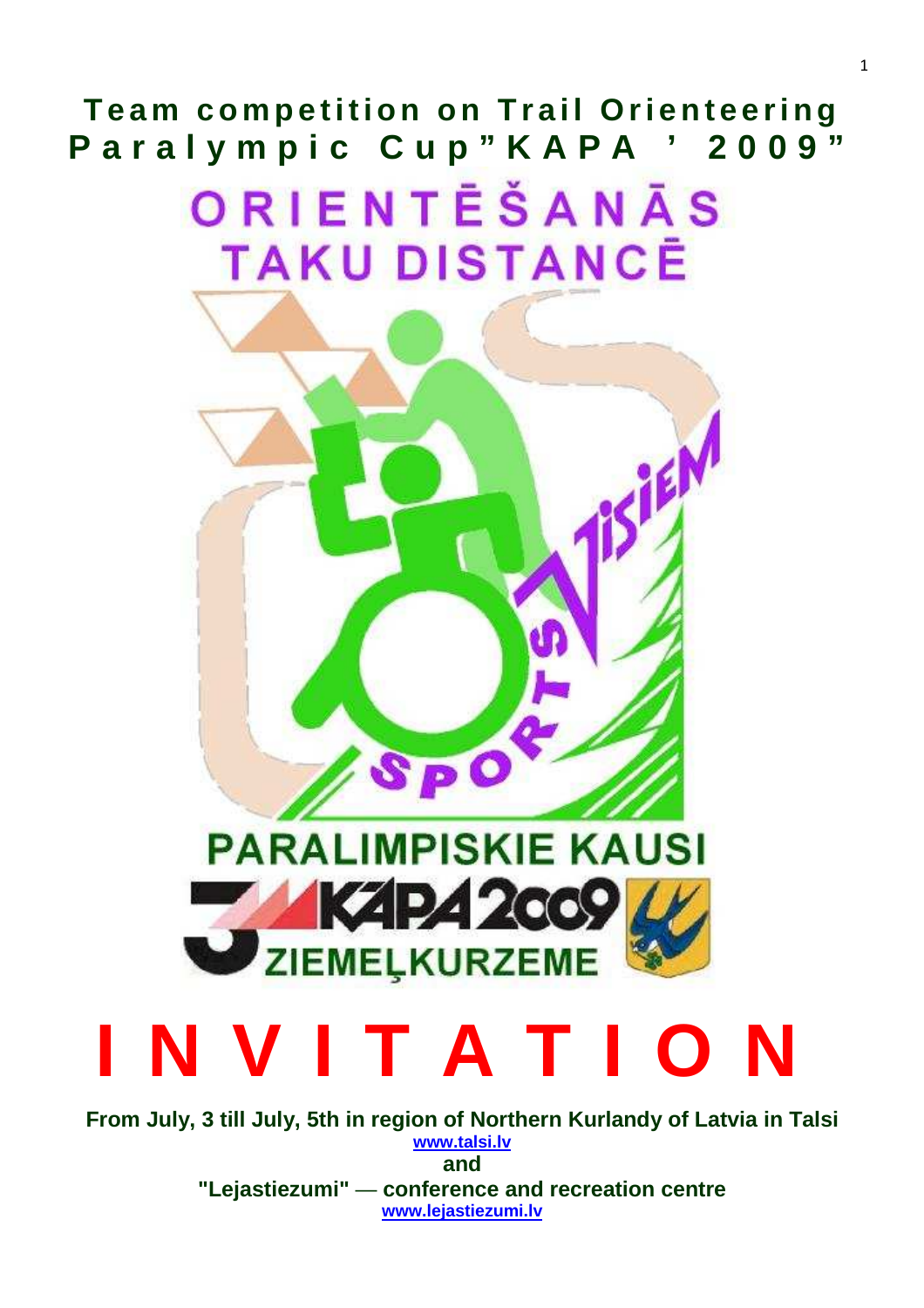**Team competition on Trail Orienteering** Paralympic Cup"KAPA ' 2009"

> ORIENTĒŠANĀS **TAKU DISTANCE**



# **I N V I T A T I O N**

**From July, 3 till July, 5th in region of Northern Kurlandy of Latvia in Talsi www.talsi.lv and "Lejastiezumi"** — **conference and recreation centre** 

**www.lejastiezumi.lv**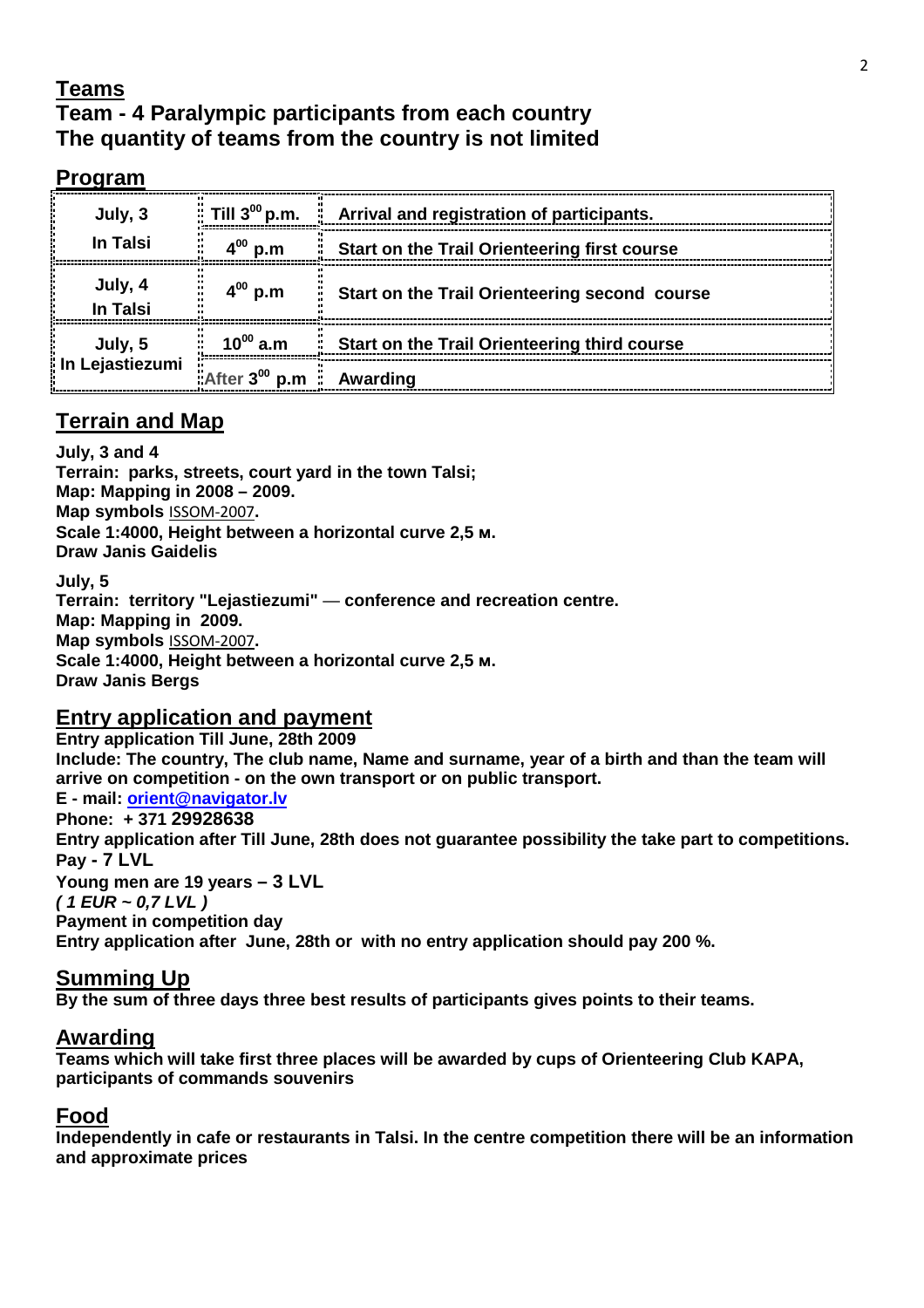## **Teams**

# **Team - 4 Paralympic participants from each country The quantity of teams from the country is not limited**

| oqram                      |                                                              |                                                     |
|----------------------------|--------------------------------------------------------------|-----------------------------------------------------|
| July, 3<br><b>In Talsi</b> | Till $3^{00}$ p.m.                                           | Arrival and registration of participants.           |
|                            | n.m                                                          | <b>Start on the Trail Orienteering first course</b> |
| July, 4<br>In Talsi        | $4^{00}$ p.m                                                 | Start on the Trail Orienteering second course       |
| July, 5<br>Lejastiezumi    | $10^{00}$ a.m                                                | Start on the Trail Orienteering third course        |
|                            | $\mathbb{R}$ After 3 <sup>00</sup> p.m $\mathbb{R}$ Awarding |                                                     |

# **Terrain and Map**

**July, 3 and 4 Terrain: parks, streets, court yard in the town Talsi; Map: Mapping in 2008 – 2009. Map symbols** ISSOM-2007**. Scale 1:4000, Height between a horizontal curve 2,5 м. Draw Janis Gaidelis** 

**July, 5 Terrain: territory "Lejastiezumi"** — **conference and recreation centre. Map: Mapping in 2009. Map symbols** ISSOM-2007**. Scale 1:4000, Height between a horizontal curve 2,5 м. Draw Janis Bergs** 

#### **Entry application and payment**

**Entry application Till June, 28th 2009 Include: The country, The club name, Name and surname, year of a birth and than the team will arrive on competition - on the own transport or on public transport. E - mail: orient@navigator.lv Phone: + 371 29928638 Entry application after Till June, 28th does not guarantee possibility the take part to competitions. Pay - 7 LVL Young men are 19 years – 3 LVL ( 1 EUR ~ 0,7 LVL ) Payment in competition day Entry application after June, 28th or with no entry application should pay 200 %.** 

#### **Summing Up**

**By the sum of three days three best results of participants gives points to their teams.** 

#### **Awarding**

**Teams which will take first three places will be awarded by cups of Orienteering Club KAPA, participants of commands souvenirs** 

#### **Food**

**Independently in cafe or restaurants in Talsi. In the centre competition there will be an information and approximate prices**